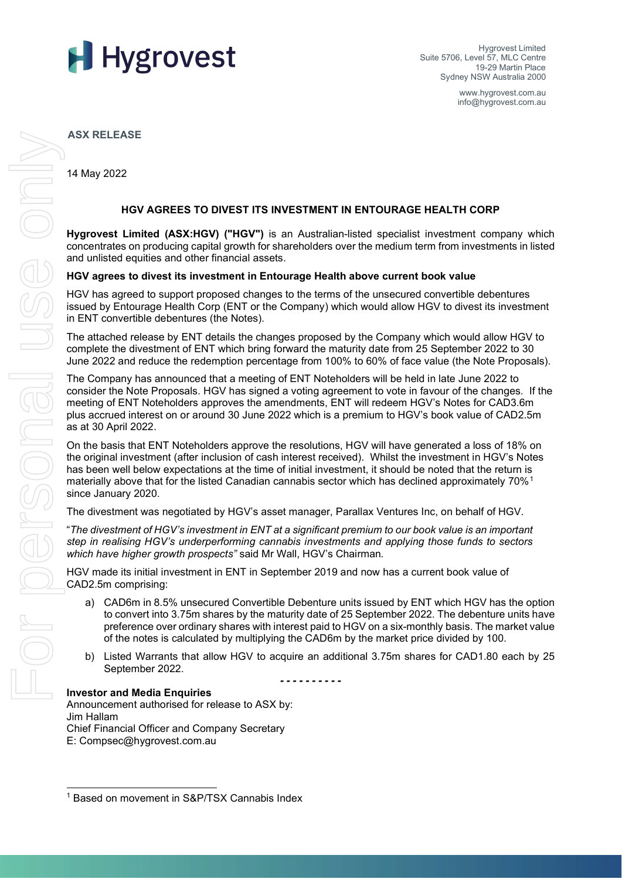

Hygrovest Limited Suite 5706, Level 57, MLC Centre 19-29 Martin Place Sydney NSW Australia 2000

> www.hygrovest.com.au info@hygrovest.com.au

**ASX RELEASE**

14 May 2022

## **HGV AGREES TO DIVEST ITS INVESTMENT IN ENTOURAGE HEALTH CORP**

**Hygrovest Limited (ASX:HGV) ("HGV")** is an Australian-listed specialist investment company which concentrates on producing capital growth for shareholders over the medium term from investments in listed and unlisted equities and other financial assets.

## **HGV agrees to divest its investment in Entourage Health above current book value**

HGV has agreed to support proposed changes to the terms of the unsecured convertible debentures issued by Entourage Health Corp (ENT or the Company) which would allow HGV to divest its investment in ENT convertible debentures (the Notes).

The attached release by ENT details the changes proposed by the Company which would allow HGV to complete the divestment of ENT which bring forward the maturity date from 25 September 2022 to 30 June 2022 and reduce the redemption percentage from 100% to 60% of face value (the Note Proposals).

The Company has announced that a meeting of ENT Noteholders will be held in late June 2022 to consider the Note Proposals. HGV has signed a voting agreement to vote in favour of the changes. If the meeting of ENT Noteholders approves the amendments, ENT will redeem HGV's Notes for CAD3.6m plus accrued interest on or around 30 June 2022 which is a premium to HGV's book value of CAD2.5m as at 30 April 2022.

On the basis that ENT Noteholders approve the resolutions, HGV will have generated a loss of 18% on the original investment (after inclusion of cash interest received). Whilst the investment in HGV's Notes has been well below expectations at the time of initial investment, it should be noted that the return is materially above that for the listed Canadian cannabis sector which has declined approximately 70%<sup>[1](#page-0-0)</sup> since January 2020.

The divestment was negotiated by HGV's asset manager, Parallax Ventures Inc, on behalf of HGV.

"*The divestment of HGV's investment in ENT at a significant premium to our book value is an important step in realising HGV's underperforming cannabis investments and applying those funds to sectors which have higher growth prospects"* said Mr Wall, HGV's Chairman*.* 

HGV made its initial investment in ENT in September 2019 and now has a current book value of CAD2.5m comprising:

- a) CAD6m in 8.5% unsecured Convertible Debenture units issued by ENT which HGV has the option to convert into 3.75m shares by the maturity date of 25 September 2022. The debenture units have preference over ordinary shares with interest paid to HGV on a six-monthly basis. The market value of the notes is calculated by multiplying the CAD6m by the market price divided by 100.
- b) Listed Warrants that allow HGV to acquire an additional 3.75m shares for CAD1.80 each by 25 September 2022.

*- - - - - - - - - -* 

### **Investor and Media Enquiries**

Announcement authorised for release to ASX by: Jim Hallam Chief Financial Officer and Company Secretary E: Compsec@hygrovest.com.au

<span id="page-0-0"></span><sup>1</sup> Based on movement in S&P/TSX Cannabis Index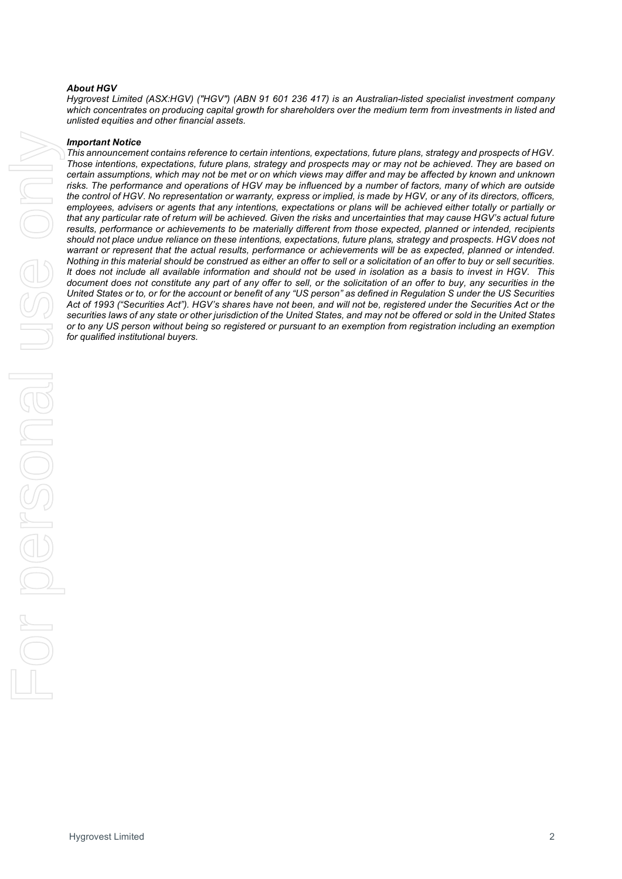### *About HGV*

*Hygrovest Limited (ASX:HGV) ("HGV") (ABN 91 601 236 417) is an Australian-listed specialist investment company*  which concentrates on producing capital growth for shareholders over the medium term from investments in listed and *unlisted equities and other financial assets.*

#### *Important Notice*

*This announcement contains reference to certain intentions, expectations, future plans, strategy and prospects of HGV. Those intentions, expectations, future plans, strategy and prospects may or may not be achieved. They are based on certain assumptions, which may not be met or on which views may differ and may be affected by known and unknown risks. The performance and operations of HGV may be influenced by a number of factors, many of which are outside the control of HGV. No representation or warranty, express or implied, is made by HGV, or any of its directors, officers, employees, advisers or agents that any intentions, expectations or plans will be achieved either totally or partially or that any particular rate of return will be achieved. Given the risks and uncertainties that may cause HGV's actual future*  results, performance or achievements to be materially different from those expected, planned or intended, recipients *should not place undue reliance on these intentions, expectations, future plans, strategy and prospects. HGV does not*  warrant or represent that the actual results, performance or achievements will be as expected, planned or intended. *Nothing in this material should be construed as either an offer to sell or a solicitation of an offer to buy or sell securities. It does not include all available information and should not be used in isolation as a basis to invest in HGV. This document does not constitute any part of any offer to sell, or the solicitation of an offer to buy, any securities in the United States or to, or for the account or benefit of any "US person" as defined in Regulation S under the US Securities Act of 1993 ("Securities Act"). HGV's shares have not been, and will not be, registered under the Securities Act or the securities laws of any state or other jurisdiction of the United States, and may not be offered or sold in the United States or to any US person without being so registered or pursuant to an exemption from registration including an exemption for qualified institutional buyers.*